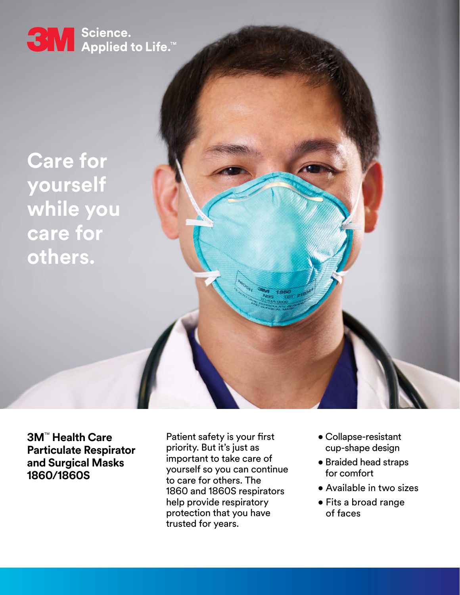

**Care for yourself while you care for others.**

**3M**™ **Health Care**

**1860/1860S**

**Particulate Respirator and Surgical Masks**

Patient safety is your first priority. But it's just as important to take care of yourself so you can continue to care for others. The 1860 and 1860S respirators help provide respiratory protection that you have trusted for years.

- Collapse-resistant cup-shape design
- Braided head straps for comfort
- Available in two sizes
- Fits a broad range of faces